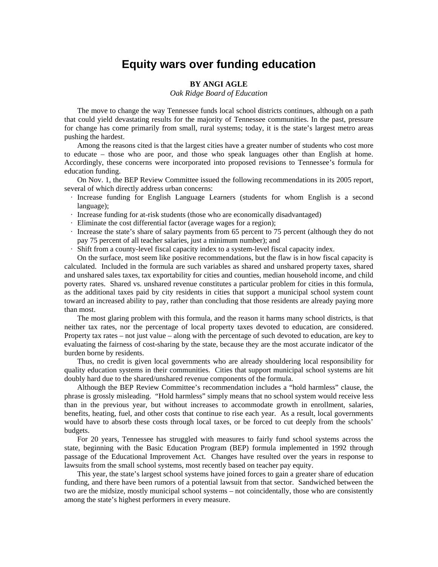## **Equity wars over funding education**

## **BY ANGI AGLE**

*Oak Ridge Board of Education*

 The move to change the way Tennessee funds local school districts continues, although on a path that could yield devastating results for the majority of Tennessee communities. In the past, pressure for change has come primarily from small, rural systems; today, it is the state's largest metro areas pushing the hardest.

 Among the reasons cited is that the largest cities have a greater number of students who cost more to educate – those who are poor, and those who speak languages other than English at home. Accordingly, these concerns were incorporated into proposed revisions to Tennessee's formula for education funding.

 On Nov. 1, the BEP Review Committee issued the following recommendations in its 2005 report, several of which directly address urban concerns:

- · Increase funding for English Language Learners (students for whom English is a second language);
- · Increase funding for at-risk students (those who are economically disadvantaged)
- · Eliminate the cost differential factor (average wages for a region);
- · Increase the state's share of salary payments from 65 percent to 75 percent (although they do not pay 75 percent of all teacher salaries, just a minimum number); and
- · Shift from a county-level fiscal capacity index to a system-level fiscal capacity index.

 On the surface, most seem like positive recommendations, but the flaw is in how fiscal capacity is calculated. Included in the formula are such variables as shared and unshared property taxes, shared and unshared sales taxes, tax exportability for cities and counties, median household income, and child poverty rates. Shared vs. unshared revenue constitutes a particular problem for cities in this formula, as the additional taxes paid by city residents in cities that support a municipal school system count toward an increased ability to pay, rather than concluding that those residents are already paying more than most.

 The most glaring problem with this formula, and the reason it harms many school districts, is that neither tax rates, nor the percentage of local property taxes devoted to education, are considered. Property tax rates – not just value – along with the percentage of such devoted to education, are key to evaluating the fairness of cost-sharing by the state, because they are the most accurate indicator of the burden borne by residents.

 Thus, no credit is given local governments who are already shouldering local responsibility for quality education systems in their communities. Cities that support municipal school systems are hit doubly hard due to the shared/unshared revenue components of the formula.

 Although the BEP Review Committee's recommendation includes a "hold harmless" clause, the phrase is grossly misleading. "Hold harmless" simply means that no school system would receive less than in the previous year, but without increases to accommodate growth in enrollment, salaries, benefits, heating, fuel, and other costs that continue to rise each year. As a result, local governments would have to absorb these costs through local taxes, or be forced to cut deeply from the schools' budgets.

 For 20 years, Tennessee has struggled with measures to fairly fund school systems across the state, beginning with the Basic Education Program (BEP) formula implemented in 1992 through passage of the Educational Improvement Act. Changes have resulted over the years in response to lawsuits from the small school systems, most recently based on teacher pay equity.

 This year, the state's largest school systems have joined forces to gain a greater share of education funding, and there have been rumors of a potential lawsuit from that sector. Sandwiched between the two are the midsize, mostly municipal school systems – not coincidentally, those who are consistently among the state's highest performers in every measure.